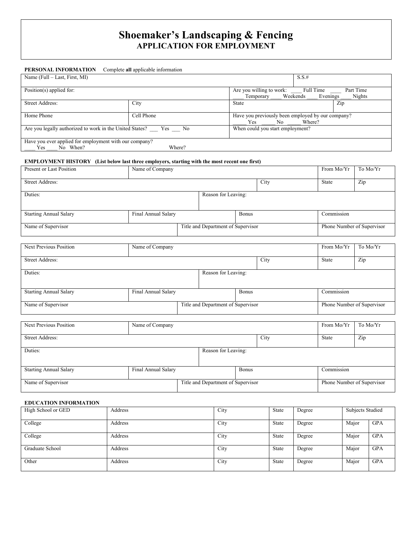# **Shoemaker's Landscaping & Fencing APPLICATION FOR EMPLOYMENT**

## **PERSONAL INFORMATION** Complete **all** applicable information Name (Full – Last, First, MI) S.S.# Position(s) applied for: <br>
Position(s) applied for: <br>
Part Time Part Time Temporary \_\_\_\_\_ Weekends \_\_\_\_\_ Evenings \_\_\_\_\_ Nights Street Address: City City State 2ip Home Phone Cell Phone Cell Phone Have you previously been employed by our company?<br>
Yes No Where? Yes No Where? Are you legally authorized to work in the United States? \_\_\_ Yes \_\_\_ No When could you start employment? Have you ever applied for employment with our company?<br>
Yes No When?  $\frac{1}{2}$  When? Where?

#### **EMPLOYMENT HISTORY (List below last three employers, starting with the most recent one first)**

| Present or Last Position      | Name of Company     |                                    |                     | From Mo/Yr                 | To Mo/Yr   |       |     |
|-------------------------------|---------------------|------------------------------------|---------------------|----------------------------|------------|-------|-----|
| Street Address:               |                     |                                    |                     |                            | City       | State | Zip |
| Duties:                       |                     |                                    | Reason for Leaving: |                            |            |       |     |
| <b>Starting Annual Salary</b> | Final Annual Salary |                                    | <b>Bonus</b>        |                            | Commission |       |     |
| Name of Supervisor            |                     | Title and Department of Supervisor |                     | Phone Number of Supervisor |            |       |     |

| <b>Next Previous Position</b> | Name of Company     |  |                                    | From Mo/Yr | To Mo/Yr                   |     |
|-------------------------------|---------------------|--|------------------------------------|------------|----------------------------|-----|
| Street Address:               |                     |  |                                    | City       | State                      | Zip |
| Duties:                       |                     |  | Reason for Leaving:                |            |                            |     |
| <b>Starting Annual Salary</b> | Final Annual Salary |  | <b>Bonus</b>                       |            | Commission                 |     |
| Name of Supervisor            |                     |  | Title and Department of Supervisor |            | Phone Number of Supervisor |     |

| Next Previous Position        | Name of Company                     |  |                                    |            |      | From Mo/Yr                 | To Mo/Yr |
|-------------------------------|-------------------------------------|--|------------------------------------|------------|------|----------------------------|----------|
| Street Address:               |                                     |  |                                    |            | City | State                      | Zip      |
| Duties:                       |                                     |  | Reason for Leaving:                |            |      |                            |          |
| <b>Starting Annual Salary</b> | Final Annual Salary<br><b>Bonus</b> |  |                                    | Commission |      |                            |          |
| Name of Supervisor            |                                     |  | Title and Department of Supervisor |            |      | Phone Number of Supervisor |          |

#### **EDUCATION INFORMATION**

| High School or GED | Address | City | State        | Degree | <b>Subjects Studied</b> |            |
|--------------------|---------|------|--------------|--------|-------------------------|------------|
| College            | Address | City | State        | Degree | Major                   | <b>GPA</b> |
| College            | Address | City | <b>State</b> | Degree | Major                   | <b>GPA</b> |
| Graduate School    | Address | City | State        | Degree | Major                   | <b>GPA</b> |
| Other              | Address | City | State        | Degree | Major                   | <b>GPA</b> |